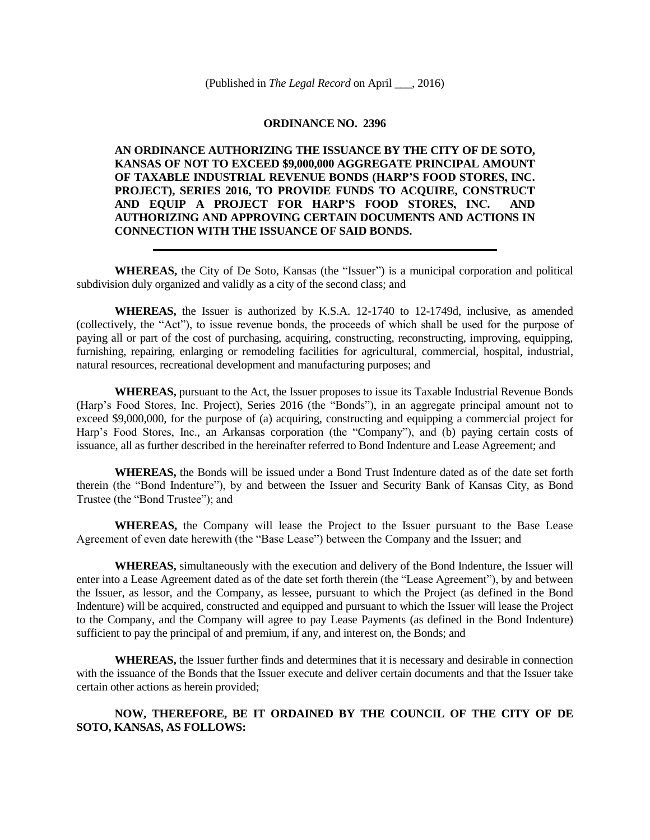## **ORDINANCE NO. 2396**

**AN ORDINANCE AUTHORIZING THE ISSUANCE BY THE CITY OF DE SOTO, KANSAS OF NOT TO EXCEED \$9,000,000 AGGREGATE PRINCIPAL AMOUNT OF TAXABLE INDUSTRIAL REVENUE BONDS (HARP'S FOOD STORES, INC. PROJECT), SERIES 2016, TO PROVIDE FUNDS TO ACQUIRE, CONSTRUCT AND EQUIP A PROJECT FOR HARP'S FOOD STORES, INC. AND AUTHORIZING AND APPROVING CERTAIN DOCUMENTS AND ACTIONS IN CONNECTION WITH THE ISSUANCE OF SAID BONDS.**

**WHEREAS,** the City of De Soto, Kansas (the "Issuer") is a municipal corporation and political subdivision duly organized and validly as a city of the second class; and

**WHEREAS,** the Issuer is authorized by K.S.A. 12-1740 to 12-1749d, inclusive, as amended (collectively, the "Act"), to issue revenue bonds, the proceeds of which shall be used for the purpose of paying all or part of the cost of purchasing, acquiring, constructing, reconstructing, improving, equipping, furnishing, repairing, enlarging or remodeling facilities for agricultural, commercial, hospital, industrial, natural resources, recreational development and manufacturing purposes; and

**WHEREAS,** pursuant to the Act, the Issuer proposes to issue its Taxable Industrial Revenue Bonds (Harp's Food Stores, Inc. Project), Series 2016 (the "Bonds"), in an aggregate principal amount not to exceed \$9,000,000, for the purpose of (a) acquiring, constructing and equipping a commercial project for Harp's Food Stores, Inc., an Arkansas corporation (the "Company"), and (b) paying certain costs of issuance, all as further described in the hereinafter referred to Bond Indenture and Lease Agreement; and

**WHEREAS,** the Bonds will be issued under a Bond Trust Indenture dated as of the date set forth therein (the "Bond Indenture"), by and between the Issuer and Security Bank of Kansas City, as Bond Trustee (the "Bond Trustee"); and

**WHEREAS,** the Company will lease the Project to the Issuer pursuant to the Base Lease Agreement of even date herewith (the "Base Lease") between the Company and the Issuer; and

**WHEREAS,** simultaneously with the execution and delivery of the Bond Indenture, the Issuer will enter into a Lease Agreement dated as of the date set forth therein (the "Lease Agreement"), by and between the Issuer, as lessor, and the Company, as lessee, pursuant to which the Project (as defined in the Bond Indenture) will be acquired, constructed and equipped and pursuant to which the Issuer will lease the Project to the Company, and the Company will agree to pay Lease Payments (as defined in the Bond Indenture) sufficient to pay the principal of and premium, if any, and interest on, the Bonds; and

**WHEREAS,** the Issuer further finds and determines that it is necessary and desirable in connection with the issuance of the Bonds that the Issuer execute and deliver certain documents and that the Issuer take certain other actions as herein provided;

## **NOW, THEREFORE, BE IT ORDAINED BY THE COUNCIL OF THE CITY OF DE SOTO, KANSAS, AS FOLLOWS:**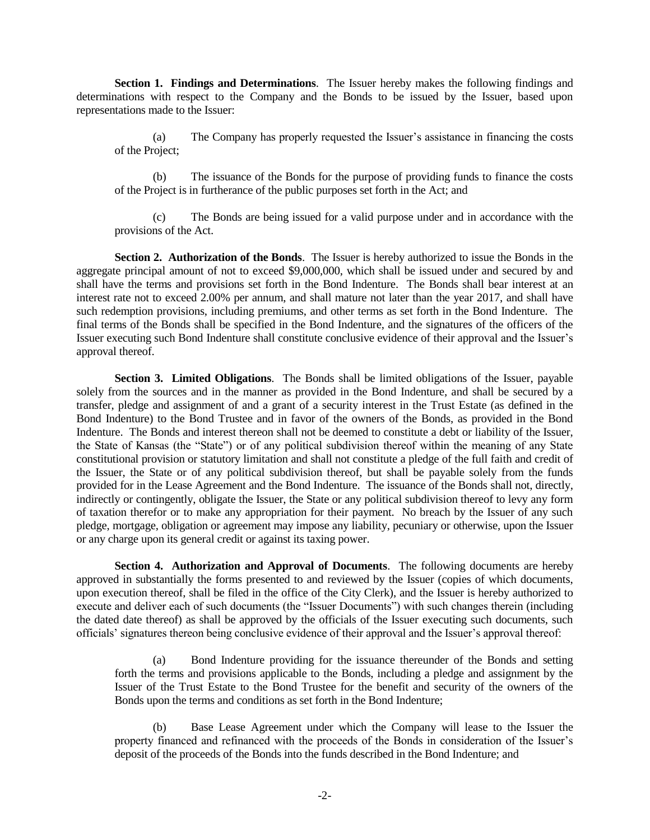**Section 1. Findings and Determinations**. The Issuer hereby makes the following findings and determinations with respect to the Company and the Bonds to be issued by the Issuer, based upon representations made to the Issuer:

(a) The Company has properly requested the Issuer's assistance in financing the costs of the Project;

(b) The issuance of the Bonds for the purpose of providing funds to finance the costs of the Project is in furtherance of the public purposes set forth in the Act; and

(c) The Bonds are being issued for a valid purpose under and in accordance with the provisions of the Act.

**Section 2. Authorization of the Bonds**. The Issuer is hereby authorized to issue the Bonds in the aggregate principal amount of not to exceed \$9,000,000, which shall be issued under and secured by and shall have the terms and provisions set forth in the Bond Indenture. The Bonds shall bear interest at an interest rate not to exceed 2.00% per annum, and shall mature not later than the year 2017, and shall have such redemption provisions, including premiums, and other terms as set forth in the Bond Indenture. The final terms of the Bonds shall be specified in the Bond Indenture, and the signatures of the officers of the Issuer executing such Bond Indenture shall constitute conclusive evidence of their approval and the Issuer's approval thereof.

**Section 3. Limited Obligations**. The Bonds shall be limited obligations of the Issuer, payable solely from the sources and in the manner as provided in the Bond Indenture, and shall be secured by a transfer, pledge and assignment of and a grant of a security interest in the Trust Estate (as defined in the Bond Indenture) to the Bond Trustee and in favor of the owners of the Bonds, as provided in the Bond Indenture. The Bonds and interest thereon shall not be deemed to constitute a debt or liability of the Issuer, the State of Kansas (the "State") or of any political subdivision thereof within the meaning of any State constitutional provision or statutory limitation and shall not constitute a pledge of the full faith and credit of the Issuer, the State or of any political subdivision thereof, but shall be payable solely from the funds provided for in the Lease Agreement and the Bond Indenture. The issuance of the Bonds shall not, directly, indirectly or contingently, obligate the Issuer, the State or any political subdivision thereof to levy any form of taxation therefor or to make any appropriation for their payment. No breach by the Issuer of any such pledge, mortgage, obligation or agreement may impose any liability, pecuniary or otherwise, upon the Issuer or any charge upon its general credit or against its taxing power.

**Section 4. Authorization and Approval of Documents**. The following documents are hereby approved in substantially the forms presented to and reviewed by the Issuer (copies of which documents, upon execution thereof, shall be filed in the office of the City Clerk), and the Issuer is hereby authorized to execute and deliver each of such documents (the "Issuer Documents") with such changes therein (including the dated date thereof) as shall be approved by the officials of the Issuer executing such documents, such officials' signatures thereon being conclusive evidence of their approval and the Issuer's approval thereof:

(a) Bond Indenture providing for the issuance thereunder of the Bonds and setting forth the terms and provisions applicable to the Bonds, including a pledge and assignment by the Issuer of the Trust Estate to the Bond Trustee for the benefit and security of the owners of the Bonds upon the terms and conditions as set forth in the Bond Indenture;

(b) Base Lease Agreement under which the Company will lease to the Issuer the property financed and refinanced with the proceeds of the Bonds in consideration of the Issuer's deposit of the proceeds of the Bonds into the funds described in the Bond Indenture; and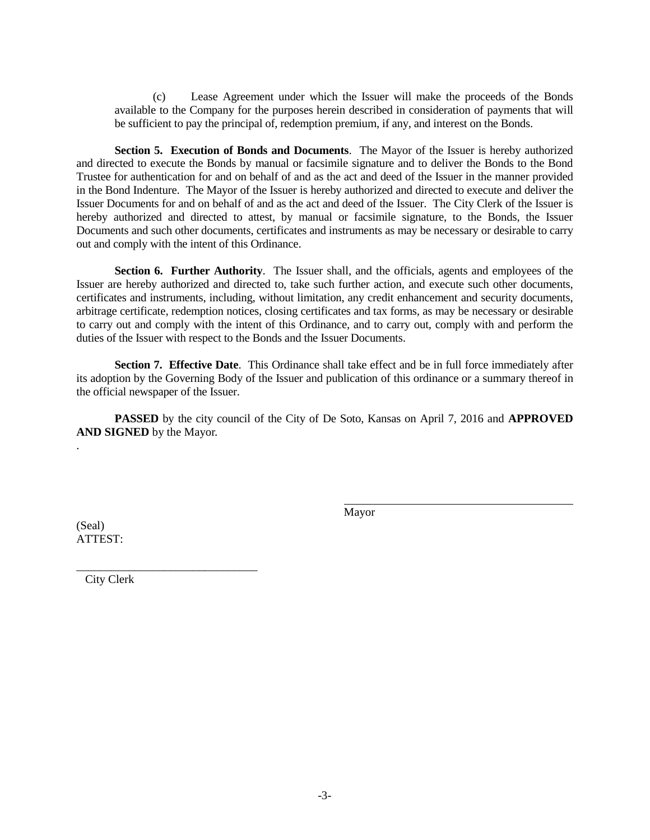(c) Lease Agreement under which the Issuer will make the proceeds of the Bonds available to the Company for the purposes herein described in consideration of payments that will be sufficient to pay the principal of, redemption premium, if any, and interest on the Bonds.

**Section 5. Execution of Bonds and Documents**. The Mayor of the Issuer is hereby authorized and directed to execute the Bonds by manual or facsimile signature and to deliver the Bonds to the Bond Trustee for authentication for and on behalf of and as the act and deed of the Issuer in the manner provided in the Bond Indenture. The Mayor of the Issuer is hereby authorized and directed to execute and deliver the Issuer Documents for and on behalf of and as the act and deed of the Issuer. The City Clerk of the Issuer is hereby authorized and directed to attest, by manual or facsimile signature, to the Bonds, the Issuer Documents and such other documents, certificates and instruments as may be necessary or desirable to carry out and comply with the intent of this Ordinance.

**Section 6. Further Authority.** The Issuer shall, and the officials, agents and employees of the Issuer are hereby authorized and directed to, take such further action, and execute such other documents, certificates and instruments, including, without limitation, any credit enhancement and security documents, arbitrage certificate, redemption notices, closing certificates and tax forms, as may be necessary or desirable to carry out and comply with the intent of this Ordinance, and to carry out, comply with and perform the duties of the Issuer with respect to the Bonds and the Issuer Documents.

**Section 7. Effective Date**. This Ordinance shall take effect and be in full force immediately after its adoption by the Governing Body of the Issuer and publication of this ordinance or a summary thereof in the official newspaper of the Issuer.

**PASSED** by the city council of the City of De Soto, Kansas on April 7, 2016 and **APPROVED AND SIGNED** by the Mayor.

Mayor

(Seal) ATTEST:

.

\_\_\_\_\_\_\_\_\_\_\_\_\_\_\_\_\_\_\_\_\_\_\_\_\_\_\_\_\_\_\_ City Clerk